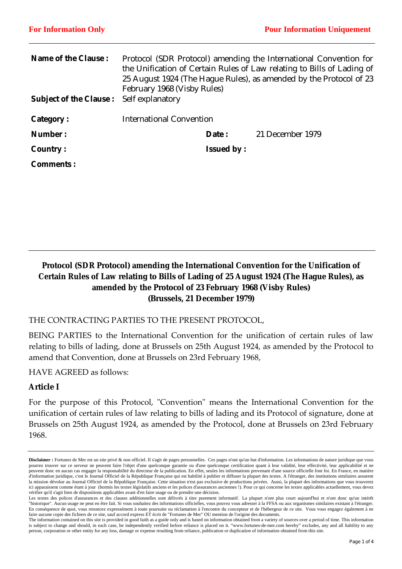| <b>Name of the Clause:</b>                     | Protocol (SDR Protocol) amending the International Convention for<br>the Unification of Certain Rules of Law relating to Bills of Lading of<br>25 August 1924 (The Hague Rules), as amended by the Protocol of 23<br>February 1968 (Visby Rules) |       |                  |
|------------------------------------------------|--------------------------------------------------------------------------------------------------------------------------------------------------------------------------------------------------------------------------------------------------|-------|------------------|
| <b>Subject of the Clause:</b> Self explanatory |                                                                                                                                                                                                                                                  |       |                  |
| <b>Category:</b>                               | <b>International Convention</b>                                                                                                                                                                                                                  |       |                  |
| Number:                                        |                                                                                                                                                                                                                                                  | Date: | 21 December 1979 |
| <b>Country:</b>                                | <b>Issued by:</b>                                                                                                                                                                                                                                |       |                  |
| <b>Comments:</b>                               |                                                                                                                                                                                                                                                  |       |                  |

## **Protocol (SDR Protocol) amending the International Convention for the Unification of Certain Rules of Law relating to Bills of Lading of 25 August 1924 (The Hague Rules), as amended by the Protocol of 23 February 1968 (Visby Rules) (Brussels, 21 December 1979)**

#### THE CONTRACTING PARTIES TO THE PRESENT PROTOCOL,

BEING PARTIES to the International Convention for the unification of certain rules of law relating to bills of lading, done at Brussels on 25th August 1924, as amended by the Protocol to amend that Convention, done at Brussels on 23rd February 1968,

HAVE AGREED as follows:

#### **Article I**

For the purpose of this Protocol, "Convention" means the International Convention for the unification of certain rules of law relating to bills of lading and its Protocol of signature, done at Brussels on 25th August 1924, as amended by the Protocol, done at Brussels on 23rd February 1968.

**Disclaimer :** Fortunes de Mer est un site privé & non officiel. Il s'agit de pages personnelles. Ces pages n'ont qu'un but d'information. Les informations de nature juridique que vous pourrez trouver sur ce serveur ne peuvent faire l'objet d'une quelconque garantie ou d'une quelconque certification quant à leur validité, leur effectivité, leur applicabilité et ne peuvent donc en aucun cas engager la responsabilité du directeur de la publication. En effet, seules les informations provenant d'une source officielle font foi. En France, en matière d'information juridique, c'est le Journal Officiel de la République Française qui est habilité à publier et diffuser la plupart des textes. A l'étranger, des institutions similaires assurent la mission dévolue au Journal Officiel de la République Française. Cette situation n'est pas exclusive de productions privées. Aussi, la plupart des informations que vous trouverez ici apparaissent comme étant à jour (hormis les textes législatifs anciens et les polices d'assurances anciennes !). Pour ce qui concerne les textes applicables actuellement, vous devez vérifier qu'il s'agit bien de dispositions applicables avant d'en faire usage ou de prendre une décision.

Les textes des polices d'assurances et des clauses additionnelles sont délivrés à titre purement informatif. La plupart n'ont plus court aujourd'hui et n'ont donc qu'un intérêt "historique". Aucun usage ne peut en être fait. Si vous souhaitez des informations officielles, vous pouvez vous adresser à la FFSA ou aux organismes similaires existant à l'étranger. En conséquence de quoi, vous renoncez expressément à toute poursuite ou réclamation à l'encontre du concepteur et de l'hébergeur de ce site. Vous vous engagez également à ne faire aucune copie des fichiers de ce site, sauf accord express ET écrit de "Fortunes de Mer" OU mention de l'origine des documents.

The information contained on this site is provided in good faith as a guide only and is based on information obtained from a variety of sources over a period of time. This information is subject to change and should, in each case, be independently verified before reliance is placed on it. "www.fortunes-de-mer.com hereby" excludes, any and all liability to any person, corporation or other entity for any loss, damage or expense resulting from reliance, publication or duplication of information obtained from this site.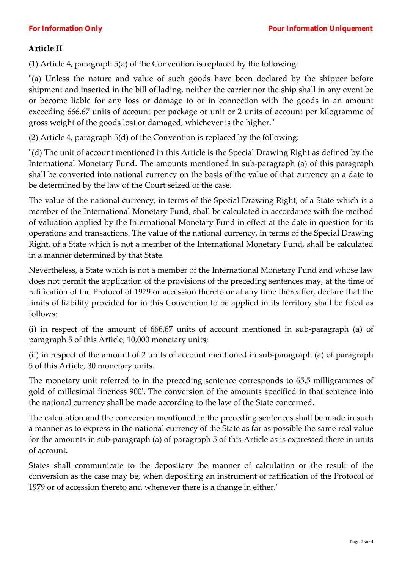# **Article II**

(1) Article 4, paragraph 5(a) of the Convention is replaced by the following:

ʺ(a) Unless the nature and value of such goods have been declared by the shipper before shipment and inserted in the bill of lading, neither the carrier nor the ship shall in any event be or become liable for any loss or damage to or in connection with the goods in an amount exceeding 666.67 units of account per package or unit or 2 units of account per kilogramme of gross weight of the goods lost or damaged, whichever is the higher."

(2) Article 4, paragraph 5(d) of the Convention is replaced by the following:

ʺ(d) The unit of account mentioned in this Article is the Special Drawing Right as defined by the International Monetary Fund. The amounts mentioned in sub-paragraph (a) of this paragraph shall be converted into national currency on the basis of the value of that currency on a date to be determined by the law of the Court seized of the case.

The value of the national currency, in terms of the Special Drawing Right, of a State which is a member of the International Monetary Fund, shall be calculated in accordance with the method of valuation applied by the International Monetary Fund in effect at the date in question for its operations and transactions. The value of the national currency, in terms of the Special Drawing Right, of a State which is not a member of the International Monetary Fund, shall be calculated in a manner determined by that State.

Nevertheless, a State which is not a member of the International Monetary Fund and whose law does not permit the application of the provisions of the preceding sentences may, at the time of ratification of the Protocol of 1979 or accession thereto or at any time thereafter, declare that the limits of liability provided for in this Convention to be applied in its territory shall be fixed as follows:

(i) in respect of the amount of 666.67 units of account mentioned in sub-paragraph (a) of paragraph 5 of this Article, 10,000 monetary units;

(ii) in respect of the amount of 2 units of account mentioned in sub-paragraph (a) of paragraph 5 of this Article, 30 monetary units.

The monetary unit referred to in the preceding sentence corresponds to 65.5 milligrammes of gold of millesimal fineness 900ʹ. The conversion of the amounts specified in that sentence into the national currency shall be made according to the law of the State concerned.

The calculation and the conversion mentioned in the preceding sentences shall be made in such a manner as to express in the national currency of the State as far as possible the same real value for the amounts in sub-paragraph (a) of paragraph 5 of this Article as is expressed there in units of account.

States shall communicate to the depositary the manner of calculation or the result of the conversion as the case may be, when depositing an instrument of ratification of the Protocol of 1979 or of accession thereto and whenever there is a change in either."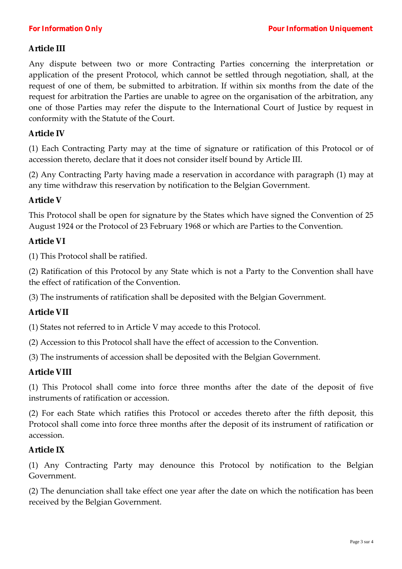## **Article III**

Any dispute between two or more Contracting Parties concerning the interpretation or application of the present Protocol, which cannot be settled through negotiation, shall, at the request of one of them, be submitted to arbitration. If within six months from the date of the request for arbitration the Parties are unable to agree on the organisation of the arbitration, any one of those Parties may refer the dispute to the International Court of Justice by request in conformity with the Statute of the Court.

## **Article IV**

(1) Each Contracting Party may at the time of signature or ratification of this Protocol or of accession thereto, declare that it does not consider itself bound by Article III.

(2) Any Contracting Party having made a reservation in accordance with paragraph (1) may at any time withdraw this reservation by notification to the Belgian Government.

### **Article V**

This Protocol shall be open for signature by the States which have signed the Convention of 25 August 1924 or the Protocol of 23 February 1968 or which are Parties to the Convention.

### **Article VI**

(1) This Protocol shall be ratified.

(2) Ratification of this Protocol by any State which is not a Party to the Convention shall have the effect of ratification of the Convention.

(3) The instruments of ratification shall be deposited with the Belgian Government.

### **Article VII**

(1) States not referred to in Article V may accede to this Protocol.

(2) Accession to this Protocol shall have the effect of accession to the Convention.

(3) The instruments of accession shall be deposited with the Belgian Government.

### **Article VIII**

(1) This Protocol shall come into force three months after the date of the deposit of five instruments of ratification or accession.

(2) For each State which ratifies this Protocol or accedes thereto after the fifth deposit, this Protocol shall come into force three months after the deposit of its instrument of ratification or accession.

#### **Article IX**

(1) Any Contracting Party may denounce this Protocol by notification to the Belgian Government.

(2) The denunciation shall take effect one year after the date on which the notification has been received by the Belgian Government.